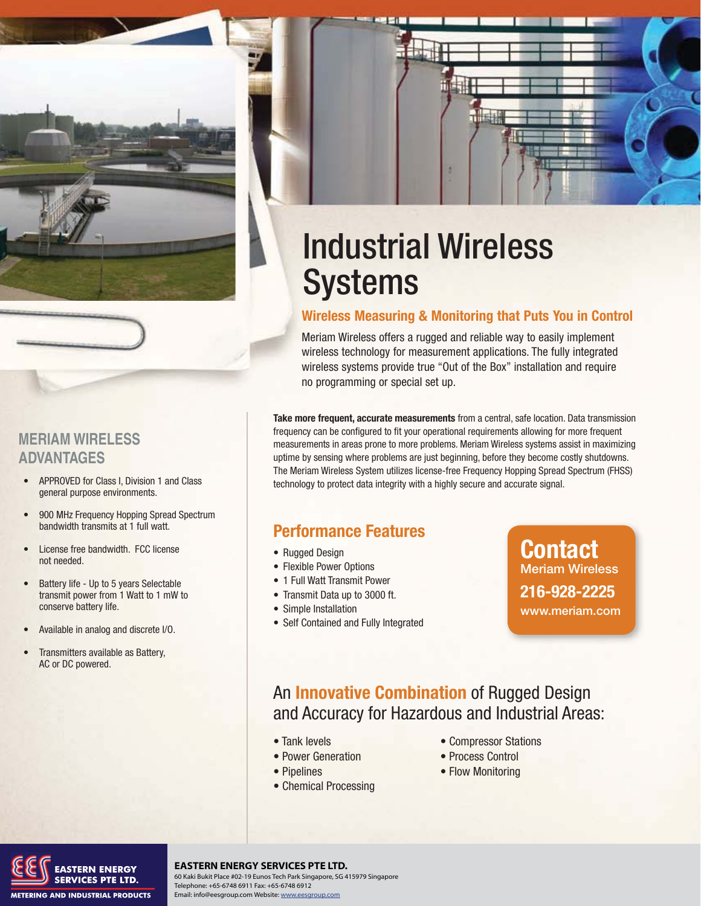

#### **MERIAM WIRELESS ADVANTAGES**

- APPROVED for Class I, Division 1 and Class general purpose environments.
- 900 MHz Frequency Hopping Spread Spectrum bandwidth transmits at 1 full watt.
- License free bandwidth. FCC license not needed.
- Battery life Up to 5 years Selectable transmit power from 1 Watt to 1 mW to conserve battery life.
- Available in analog and discrete I/O.
- Transmitters available as Battery, AC or DC powered.



#### **Wireless Measuring & Monitoring that Puts You in Control**

Meriam Wireless offers a rugged and reliable way to easily implement wireless technology for measurement applications. The fully integrated wireless systems provide true "Out of the Box" installation and require no programming or special set up.

**Take more frequent, accurate measurements** from a central, safe location. Data transmission frequency can be configured to fit your operational requirements allowing for more frequent measurements in areas prone to more problems. Meriam Wireless systems assist in maximizing uptime by sensing where problems are just beginning, before they become costly shutdowns. The Meriam Wireless System utilizes license-free Frequency Hopping Spread Spectrum (FHSS) technology to protect data integrity with a highly secure and accurate signal.

### **Performance Features**

- Rugged Design
- Flexible Power Options
- 1 Full Watt Transmit Power
- Transmit Data up to 3000 ft.
- Simple Installation
- Self Contained and Fully Integrated

### **Contact Meriam Wireless 216-928-2225 www.meriam.com**

### An **Innovative Combination** of Rugged Design and Accuracy for Hazardous and Industrial Areas:

- Tank levels
- Power Generation
- Pipelines
- Chemical Processing
- Compressor Stations
- Process Control
- Flow Monitoring



**Meriam Process Technologies** www.meriam.com **ph:** 800.817.7849 **fax:** 216.281.0228 **<sup>40</sup> EASTERN ENERGY SERVICES PTE LTD.** 60 Kaki Bukit Place #02-19 Eunos Tech Park Singapore, SG 415979 Singapore Telephone: +65-6748 6911 Fax: +65-6748 6912 Email: info@eesgroup.com Website: www.eesgroup.com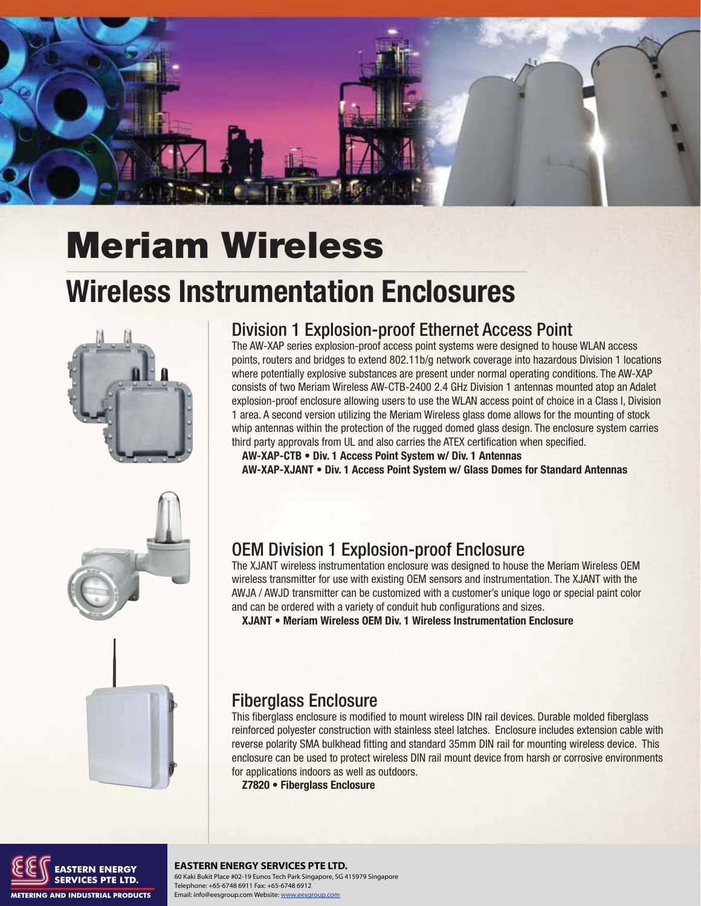

## **Meriam Wireless**

## **Wireless Instrumentation Enclosures**



## **Division 1 Explosion-proof Ethernet Access Point**

The AW-XAP series explosion-proof access point systems were designed to house WLAN access points, routers and bridges to extend 802.11b/g network coverage into hazardous Division 1 locations where potentially explosive substances are present under normal operating conditions. The AW-XAP consists of two Meriam Wireless AW-CTB-2400 2.4 GHz Division 1 antennas mounted atop an Adalet explosion-proof enclosure allowing users to use the WLAN access point of choice in a Class I, Division 1 area. A second version utilizing the Meriam Wireless glass dome allows for the mounting of stock whip antennas within the protection of the rugged domed glass design. The enclosure system carries third party approvals from UL and also carries the ATEX certification when specified.

AW-XAP-CTB • Div. 1 Access Point System w/ Div. 1 Antennas

AW-XAP-XJANT . Div. 1 Access Point System w/ Glass Domes for Standard Antennas

### **OEM Division 1 Explosion-proof Enclosure**

The XJANT wireless instrumentation enclosure was designed to house the Meriam Wireless OEM wireless transmitter for use with existing OEM sensors and instrumentation. The XJANT with the AWJA / AWJD transmitter can be customized with a customer's unique logo or special paint color and can be ordered with a variety of conduit hub configurations and sizes.

XJANT . Meriam Wireless OEM Div. 1 Wireless Instrumentation Enclosure

## **Fiberglass Enclosure**

This fiberglass enclosure is modified to mount wireless DIN rail devices. Durable molded fiberglass reinforced polyester construction with stainless steel latches. Enclosure includes extension cable with reverse polarity SMA bulkhead fitting and standard 35mm DIN rail for mounting wireless device. This enclosure can be used to protect wireless DIN rail mount device from harsh or corrosive environments for applications indoors as well as outdoors.

Z7820 · Fiberglass Enclosure



#### **EASTERN ENERGY SERVICES PTE LTD.** 60 Kaki Bukit Place #02-19 Eunos Tech Park Singapore, SG 415979 Singapore Telephone: +65-6748 6911 Fax: +65-6748 6912 Email: info@eesgroup.com Website: www.eesgroup.com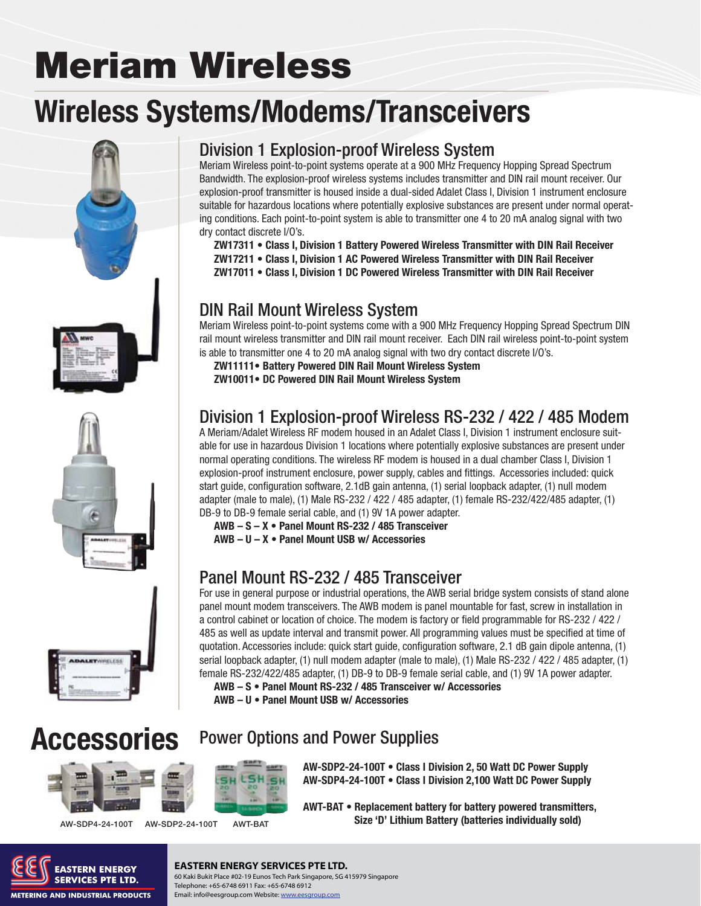# **Meriam Wireless**

## **Wireless Systems/Modems/Transceivers**







### Division 1 Explosion-proof Wireless System

Meriam Wireless point-to-point systems operate at a 900 MHz Frequency Hopping Spread Spectrum Bandwidth. The explosion-proof wireless systems includes transmitter and DIN rail mount receiver. Our explosion-proof transmitter is housed inside a dual-sided Adalet Class I, Division 1 instrument enclosure suitable for hazardous locations where potentially explosive substances are present under normal operating conditions. Each point-to-point system is able to transmitter one 4 to 20 mA analog signal with two dry contact discrete I/O's.

- ZW17311 Class I, Division 1 Battery Powered Wireless Transmitter with DIN Rail Receiver
- **ZW17211 Class I, Division 1 AC Powered Wireless Transmitter with DIN Rail Receiver**
- **ZW17011 Class I. Division 1 DC Powered Wireless Transmitter with DIN Rail Receiver**

### DIN Rail Mount Wireless System

Meriam Wireless point-to-point systems come with a 900 MHz Frequency Hopping Spread Spectrum DIN rail mount wireless transmitter and DIN rail mount receiver. Each DIN rail wireless point-to-point system is able to transmitter one 4 to 20 mA analog signal with two dry contact discrete I/O's.

**ZW11111 • Battery Powered DIN Rail Mount Wireless System** 

**ZW10011 • DC Powered DIN Rail Mount Wireless System** 

### Division 1 Explosion-proof Wireless RS-232 / 422 / 485 Modem

A Meriam/Adalet Wireless RF modem housed in an Adalet Class I, Division 1 instrument enclosure suitable for use in hazardous Division 1 locations where potentially explosive substances are present under normal operating conditions. The wireless RF modem is housed in a dual chamber Class I, Division 1 explosion-proof instrument enclosure, power supply, cables and fittings. Accessories included: quick start guide, configuration software, 2.1dB gain antenna, (1) serial loopback adapter, (1) null modem adapter (male to male), (1) Male RS-232 / 422 / 485 adapter, (1) female RS-232/422/485 adapter, (1) DB-9 to DB-9 female serial cable, and (1) 9V 1A power adapter.

AWB - S - X • Panel Mount RS-232 / 485 Transceiver

**AWB - U - X • Panel Mount USB w/ Accessories** 

### Panel Mount RS-232 / 485 Transceiver

For use in general purpose or industrial operations, the AWB serial bridge system consists of stand alone panel mount modem transceivers. The AWB modem is panel mountable for fast, screw in installation in a control cabinet or location of choice. The modem is factory or field programmable for RS-232 / 422 / 485 as well as update interval and transmit power. All programming values must be specified at time of quotation. Accessories include: quick start guide, configuration software, 2.1 dB gain dipole antenna, (1) serial loopback adapter, (1) null modem adapter (male to male), (1) Male RS-232 / 422 / 485 adapter, (1) female RS-232/422/485 adapter, (1) DB-9 to DB-9 female serial cable, and (1) 9V 1A power adapter.

AWB - S . Panel Mount RS-232 / 485 Transceiver w/ Accessories **AWB - U • Panel Mount USB w/ Accessories** 

## **Accessories**



Power Options and Power Supplies

**AW-SDP4-24-100T AW-SDP2-24-100T AWT-BAT**

AW-SDP4-24-100T • Class I Division 2,100 Watt DC Power Supply AWT-BAT • Replacement battery for battery powered transmitters,

**AWT-BAT 312E 'D' Lithium Battery (batteries individually sold)** 

AW-SDP2-24-100T • Class I Division 2, 50 Watt DC Power Supply



#### **EASTERN ENERGY SERVICES PTE LTD.**

**42 <b>SERVICES PTE LTD.** 60 Kaki Bukit Place #02-19 Eunos Tech Park Singapore, SG 415979 Singapore<br>SERVICES PTE LTD. **Process Telephone: +65-6748 6911 Fax: +65-6748 691** Telephone: +65-6748 6911 Fax: +65-6748 6912 Email: info@eesgroup.com Website: www.eesgroup.com